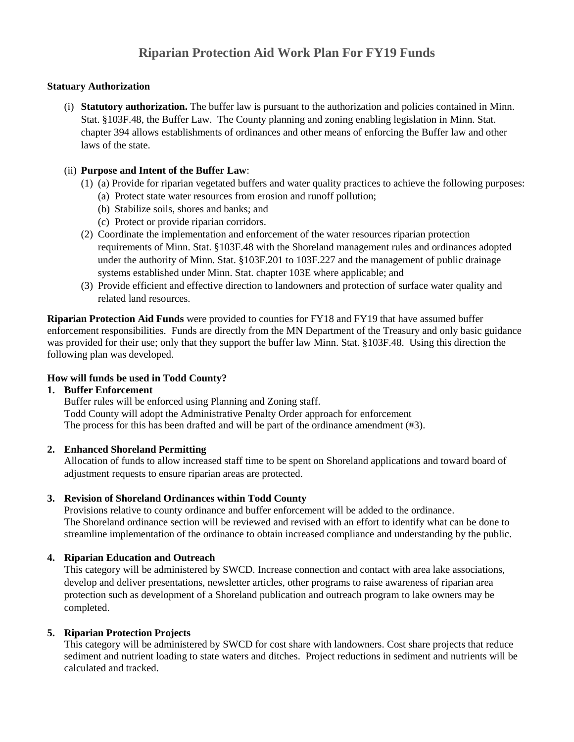#### **Statuary Authorization**

(i) **Statutory authorization.** The buffer law is pursuant to the authorization and policies contained in Minn. Stat. §103F.48, the Buffer Law. The County planning and zoning enabling legislation in Minn. Stat. chapter 394 allows establishments of ordinances and other means of enforcing the Buffer law and other laws of the state.

#### (ii) **Purpose and Intent of the Buffer Law**:

- (1) (a) Provide for riparian vegetated buffers and water quality practices to achieve the following purposes:
	- (a) Protect state water resources from erosion and runoff pollution;
		- (b) Stabilize soils, shores and banks; and
		- (c) Protect or provide riparian corridors.
- (2) Coordinate the implementation and enforcement of the water resources riparian protection requirements of Minn. Stat. §103F.48 with the Shoreland management rules and ordinances adopted under the authority of Minn. Stat. §103F.201 to 103F.227 and the management of public drainage systems established under Minn. Stat. chapter 103E where applicable; and
- (3) Provide efficient and effective direction to landowners and protection of surface water quality and related land resources.

**Riparian Protection Aid Funds** were provided to counties for FY18 and FY19 that have assumed buffer enforcement responsibilities. Funds are directly from the MN Department of the Treasury and only basic guidance was provided for their use; only that they support the buffer law Minn. Stat. §103F.48. Using this direction the following plan was developed.

# **How will funds be used in Todd County?**

# **1. Buffer Enforcement**

Buffer rules will be enforced using Planning and Zoning staff. Todd County will adopt the Administrative Penalty Order approach for enforcement The process for this has been drafted and will be part of the ordinance amendment (#3).

# **2. Enhanced Shoreland Permitting**

Allocation of funds to allow increased staff time to be spent on Shoreland applications and toward board of adjustment requests to ensure riparian areas are protected.

# **3. Revision of Shoreland Ordinances within Todd County**

Provisions relative to county ordinance and buffer enforcement will be added to the ordinance. The Shoreland ordinance section will be reviewed and revised with an effort to identify what can be done to streamline implementation of the ordinance to obtain increased compliance and understanding by the public.

# **4. Riparian Education and Outreach**

This category will be administered by SWCD. Increase connection and contact with area lake associations, develop and deliver presentations, newsletter articles, other programs to raise awareness of riparian area protection such as development of a Shoreland publication and outreach program to lake owners may be completed.

# **5. Riparian Protection Projects**

This category will be administered by SWCD for cost share with landowners. Cost share projects that reduce sediment and nutrient loading to state waters and ditches. Project reductions in sediment and nutrients will be calculated and tracked.